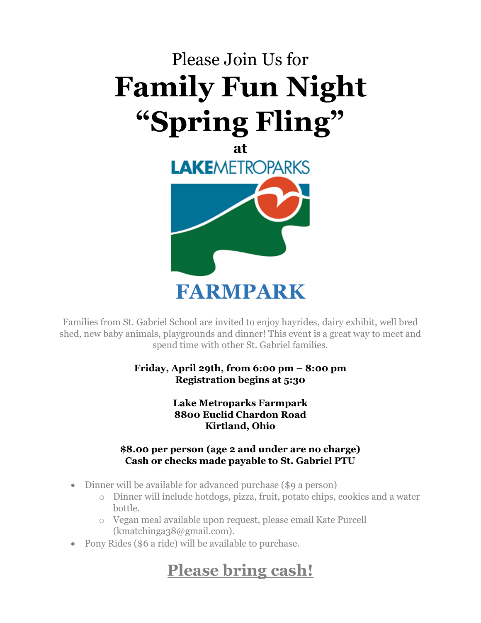

**FARMPARK**

Families from St. Gabriel School are invited to enjoy hayrides, dairy exhibit, well bred shed, new baby animals, playgrounds and dinner! This event is a great way to meet and spend time with other St. Gabriel families.

> **Friday, April 29th, from 6:00 pm – 8:00 pm Registration begins at 5:30**

> > **Lake Metroparks Farmpark 8800 Euclid Chardon Road Kirtland, Ohio**

#### **\$8.00 per person (age 2 and under are no charge) Cash or checks made payable to St. Gabriel PTU**

- Dinner will be available for advanced purchase (\$9 a person)
	- o Dinner will include hotdogs, pizza, fruit, potato chips, cookies and a water bottle.
	- o Vegan meal available upon request, please email Kate Purcell (kmatchinga38@gmail.com).
- Pony Rides (\$6 a ride) will be available to purchase.

## **Please bring cash!**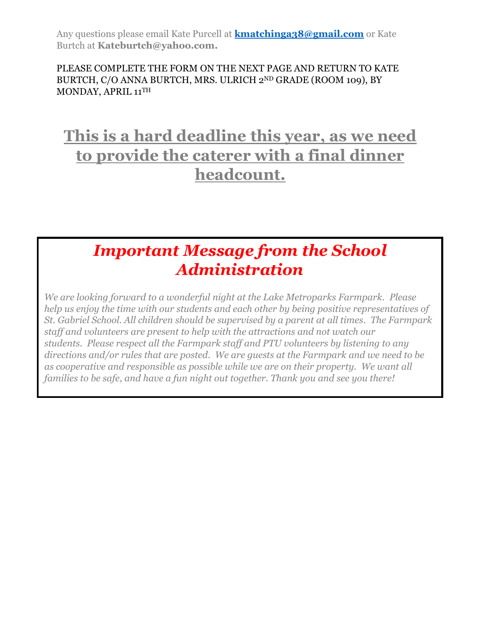Any questions please email Kate Purcell at **[kmatchinga38@gmail.com](mailto:kmatchinga38@gmail.com)** or Kate Burtch at **[Kateburtch@yahoo.com.](mailto:Kateburtch@yahoo.com)**

#### PLEASE COMPLETE THE FORM ON THE NEXT PAGE AND RETURN TO KATE BURTCH, C/O ANNA BURTCH, MRS. ULRICH 2ND GRADE (ROOM 109), BY MONDAY, APRIL 11 TH

## **This is a hard deadline this year, as we need to provide the caterer with a final dinner headcount.**

## *Important Message from the School Administration*

*We are looking forward to a wonderful night at the Lake Metroparks Farmpark. Please help us enjoy the time with our students and each other by being positive representatives of St. Gabriel School. All children should be supervised by a parent at all times. The Farmpark staff and volunteers are present to help with the attractions and not watch our students. Please respect all the Farmpark staff and PTU volunteers by listening to any directions and/or rules that are posted. We are guests at the Farmpark and we need to be as cooperative and responsible as possible while we are on their property. We want all families to be safe, and have a fun night out together. Thank you and see you there!*